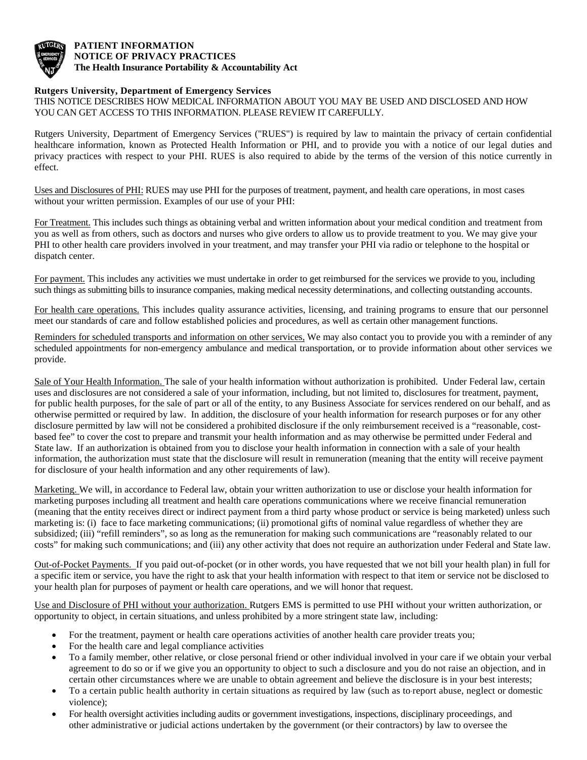

## **PATIENT INFORMATION NOTICE OF PRIVACY PRACTICES The Health Insurance Portability & Accountability Act**

## **Rutgers University, Department of Emergency Services**

THIS NOTICE DESCRIBES HOW MEDICAL INFORMATION ABOUT YOU MAY BE USED AND DISCLOSED AND HOW YOU CAN GET ACCESS TO THIS INFORMATION. PLEASE REVIEW IT CAREFULLY.

Rutgers University, Department of Emergency Services ("RUES") is required by law to maintain the privacy of certain confidential healthcare information, known as Protected Health Information or PHI, and to provide you with a notice of our legal duties and privacy practices with respect to your PHI. RUES is also required to abide by the terms of the version of this notice currently in effect.

Uses and Disclosures of PHI: RUES may use PHI for the purposes of treatment, payment, and health care operations, in most cases without your written permission. Examples of our use of your PHI:

For Treatment. This includes such things as obtaining verbal and written information about your medical condition and treatment from you as well as from others, such as doctors and nurses who give orders to allow us to provide treatment to you. We may give your PHI to other health care providers involved in your treatment, and may transfer your PHI via radio or telephone to the hospital or dispatch center.

For payment. This includes any activities we must undertake in order to get reimbursed for the services we provide to you, including such things as submitting bills to insurance companies, making medical necessity determinations, and collecting outstanding accounts.

For health care operations. This includes quality assurance activities, licensing, and training programs to ensure that our personnel meet our standards of care and follow established policies and procedures, as well as certain other management functions.

Reminders for scheduled transports and information on other services. We may also contact you to provide you with a reminder of any scheduled appointments for non-emergency ambulance and medical transportation, or to provide information about other services we provide.

Sale of Your Health Information. The sale of your health information without authorization is prohibited. Under Federal law, certain uses and disclosures are not considered a sale of your information, including, but not limited to, disclosures for treatment, payment, for public health purposes, for the sale of part or all of the entity, to any Business Associate for services rendered on our behalf, and as otherwise permitted or required by law. In addition, the disclosure of your health information for research purposes or for any other disclosure permitted by law will not be considered a prohibited disclosure if the only reimbursement received is a "reasonable, costbased fee" to cover the cost to prepare and transmit your health information and as may otherwise be permitted under Federal and State law. If an authorization is obtained from you to disclose your health information in connection with a sale of your health information, the authorization must state that the disclosure will result in remuneration (meaning that the entity will receive payment for disclosure of your health information and any other requirements of law).

Marketing. We will, in accordance to Federal law, obtain your written authorization to use or disclose your health information for marketing purposes including all treatment and health care operations communications where we receive financial remuneration (meaning that the entity receives direct or indirect payment from a third party whose product or service is being marketed) unless such marketing is: (i) face to face marketing communications; (ii) promotional gifts of nominal value regardless of whether they are subsidized; (iii) "refill reminders", so as long as the remuneration for making such communications are "reasonably related to our costs" for making such communications; and (iii) any other activity that does not require an authorization under Federal and State law.

Out-of-Pocket Payments. If you paid out-of-pocket (or in other words, you have requested that we not bill your health plan) in full for a specific item or service, you have the right to ask that your health information with respect to that item or service not be disclosed to your health plan for purposes of payment or health care operations, and we will honor that request.

Use and Disclosure of PHI without your authorization. Rutgers EMS is permitted to use PHI without your written authorization, or opportunity to object, in certain situations, and unless prohibited by a more stringent state law, including:

- For the treatment, payment or health care operations activities of another health care provider treats you;
- For the health care and legal compliance activities
- To a family member, other relative, or close personal friend or other individual involved in your care if we obtain your verbal agreement to do so or if we give you an opportunity to object to such a disclosure and you do not raise an objection, and in certain other circumstances where we are unable to obtain agreement and believe the disclosure is in your best interests;
- To a certain public health authority in certain situations as required by law (such as to report abuse, neglect or domestic violence);
- For health oversight activities including audits or government investigations, inspections, disciplinary proceedings, and other administrative or judicial actions undertaken by the government (or their contractors) by law to oversee the